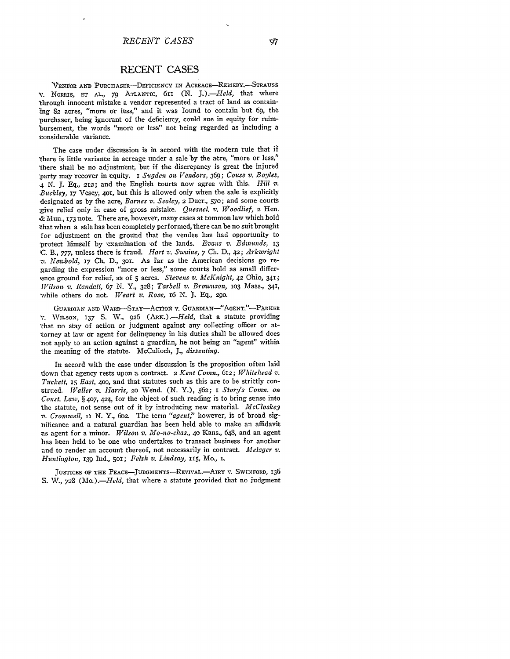## **RECENT CASES**

VENDOR AND PURCHASER-DEFICIENCY IN ACREAGE-REMEDY.-STRAUSS **,.** NoRRis, **FT AL., 79 ATLANTrC,** 611 **(N.** *J]).-Held,* that where "through innocent mistake a vendor represented a tract of land as containing 82 acres, "more or less," and it was found to contain but **69,** the 'purchaser, being ignorant of the deficiency, could sue in equity for reimbursement, the words "more or less" not being regarded as including a tonsiderable variance.

The case under discussion is in accord with the modern rule that if 'there is little variance in acreage under a sale by the acre, "more or less," 'there shall be no adjustment, 'but if the discrepancy is great the injured ,party may recover in equity. **I** *Sngden on Vendors,* 369; *Couse v. Boyles, 4* N. **J.** Eq., 212; and the English courts now agree with this. *Hill v. Buckley, .17* Vesey, **401,** but this is allowed only when the sale is explicitly designated as **by** the acre, *Barnes v. Sealey,* **2** Duer., **570;** and some courts give relief only in case of gross mistake. *Quesiel. v. WJoodlief,* **2** Hen. .& Mun., **173** note. There are, however, many cases at common law which hold that when a sale has been completely performed, there can be no suit brought for adjustment on the ground that the vendee has had opportunity to -protect himself by examination of the lands. *Evans v. Edmunds, 13* 'C. B., 777, unless there is fraud. *Hart v. Swaine*, 7 Ch. D., 42; *Arkwright ,v. Newbold,* **17** Ch. D., 3oi. As far as the American decisions go regarding the expression "more or less," some courts hold as small difference ground for relief, as of **5** acres. *Stevens v. McKnight, 42* Ohio, **341;** *Wilson v. Randall,* 67 N. Y., 328; *Tarbell v. Brownson,* **IO3** Mass., 341, while others do not. *Weart v. Rose*, 16 N. J. Eq., 290.

GUARDIAN AND WARD-STAY-ACTION **v.** GUARDIAN-"AGENT."-PARKER **V.** WILSON, **137** S. W., 926 *(ARx.).-Held,* that a statute providing 'that no stay of action or judgment against any collecting officer or attorney at law or agent for delinquency in his duties shall be allowed does not apply to an action against a guardian, he not being an "agent" within the meaning of the statute. McCulloch, *J., dissenting.*

In accord with the case under discussion is the proposition often laid down that agency rests upon a contract. 2 *Kent Corn., 6T2; Whitehead z. Tuckett, 15 East,* **400,** and that statutes such as this are to be strictly construed. *lValler v. Harris, 2o* Wend. (N. Y.), **562; I** *Story's Con. on Const. Law, §* 407, 424, for the object of such reading is to bring sense into the statute, not sense out of it **by** introducing new material. *McCloskey 'v. Cromwell, it* N. Y., 6oz The term *"agent,"* however, is of broad significance and a natural guardian has been held able to make an affidavit ;as agent for a minor. *Wilson v. Mo-no-chas.,* **40** Kans., 648, and an agent has been held to be one who undertakes to transact business for another and to render an account thereof, not necessarily in contract. *Metzger v.* Huntington, 139 Ind., 501; *Felsh v. Lindsay,* 115, Mo., I.

**JUSTICES OF THE** PEACE-JUDGMENTS-REViVAL.-AIRY **V.** SwINFORD, **136** *S.* V., *728 (Mo.).-Held,* that where a statute provided that no judgment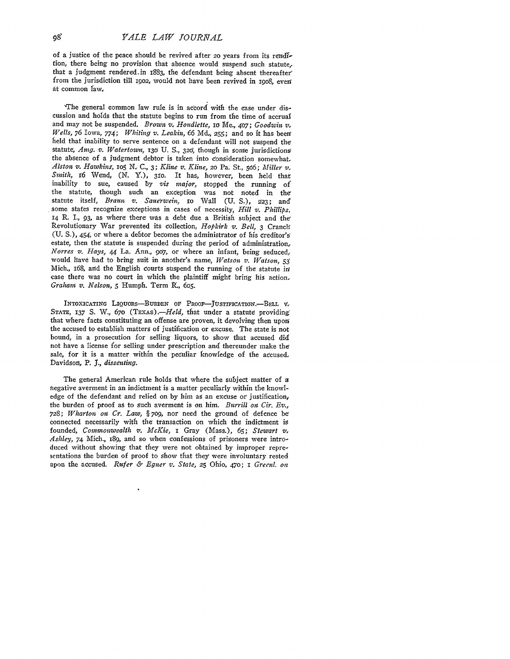of a justice of the peace should be revived after 20 years from its rendftion, there being no provision that absence would suspend such statute,. that a judgment rendered.in 1883, the defendant being absent thereafter' from the jurisdiction till 1902, would not have been revived in 1908, even at common faw,

'The general common law rule is in accord with the ease under diseussion and holds that the statute begins to run from the time of accrual and may not be suspended. *Brown v. Houdlette, Io* Me., *407; Goodwin v. Wells,* **76** Iowa, 774; *Whiting v. Leakin, 66* **Md, 255;** and so it has **been'** held that inability to serve sentence on a defendant will not suspend the statute, Amg. v. Watertown, 130 U. S., 320, though in some jurisdictions the absence of a judgment debtor is taken into consideration somewhat. *Alston v. Hawkins, ioS N,* C., 3; *Kline v. Kline,* **20** Pa. St., **506;** *Miller v, Smith,* **6** Wend, (N. Y.), 31o. It has, however, been held that inability to sue, caused by *vis major,* stopped the running of the statute, though such an exception was not noted in the statute itself, *Braun v. Sauerwein*, 10 Wall (U. S.), 223; and some states recognize exceptions in cases of necessity, *till v. Phillips,* **14** R. I., 93, as where there was a debt due a British subject and the Revolutionary War prevented its collection, *Hopkirk v. Bell,* 3 Cranch (U. S.), 454, or where a debtor becomes the administrator of his creditor's estate, then the statute is suspended during the period of administration, *Norres v. Hays,* 44 La. Ann., 907, or where an infant, being seduced, would have had to bring suit in another's name, *Watson v. Watson, 53* Mich., i68, and the English courts suspend the running of the statute ir case there was no court in which the plaintiff might bring his action. *Graham v. Nelson, 5* Humph. Term R., 6o5.

INTOXICATING LIQUORS-BURDEN OF PROOF-JUSTIFICATION.-BELL **V STATE, 137** S. W., 670 *(TExAs).-Held,* that under a statute providing: that where facts constituting an offense are proven, it devolving then upori the accused to establish matters of justification or excuse. The state is not bound, in a prosecution for selling liquors, to show that accused did not have a license for selling under prescription and thereunder make the sale, for it is a matter within the peculiar knowledge of the accused. Davidson, P. *I., dissenting.*

The general American rule holds that where the subject matter of a negative averment in an indictment is a matter peculiarly within the knowledge of the defendant and relied on **by** him as an excuse or justification, the burden of proof as to such averment is on him. *Burrill on Cir. Ev., 728; Wharton oi Cr-. Law, § 709,* nor need the ground of defence be connected necessarily with the transaction on which the indictment is founded, *Commonwealth v, McKie,* **I** Gray (Mass.), 65; *Stewart v. Ashley,* 74 Mich., i89, and so when confessions of prisoners were introduced without showing that they were not obtained **by** improper representations the burden of proof to show that they were involuntary rested upon the accused. *Rufer & Egner v. State,* **25** Ohio, 470; **I** *Greenl. on*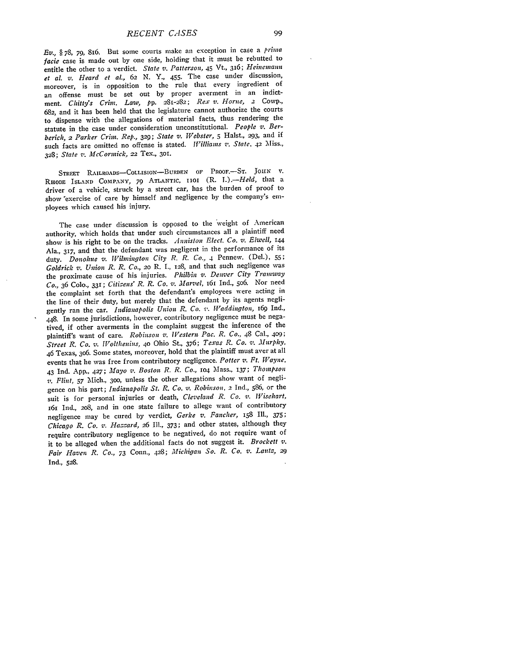*RECENT CASES*

*Ev., §* 78, **79,** 816. But some courts make **an** exception in case a *prima facie* case is made out by one side, holding that it must be rebutted to entitle the other to a verdict. *State v. Patterson, 45* Vt., 316; *Heinemann et al. v. Heard et al., 62* N. Y., 455. The case under discussion, moreover, is in opposition to the rule that every ingredient of an offense must be set out by proper averment in an indictment. *Chitty's Crim. Law, pp.* 281-282; *Rex v. Horne, 2* Cowp., 682, and it has been held that the legislature cannot authorize the courts to dispense with the allegations of material facts, thus rendering the statute in the case under consideration unconstitutional. *People v. Berberich, 2 Parker Crim. Rep.,* **329;** *State v. Webster, 5* Halst., **293,** and if such facts are omitted no offense is stated. *Williams '. State.* 42 'Miss., 328; *State z. McCormick,* 22 Tex., 3oi.

STREET RAILROADS-CoLLISIoN-BURDEN **OF** PROOF.-ST. **JoHN** v. RHODE **ISLAND** COMPANY, 79 **ATLANTIC, 1101** (R. *I.).-Held,* that a driver of a vehicle, struck **by** a street car, has the burden of proof to show 'exercise of care **by** himself and negligence **by** the company's employees which caused his injury.

The case under discussion is opposed to the weight of American authority, which holds that under such circumstances all a plaintiff need show is his right to be on the tracks. *Anniston Elect. Co. v. Elwell, <sup>144</sup>* Ala., **317,** and that the defendant was negligent in the performance of its duty. *Donohue v. Wilmington City R. R. Co.,* 4 Pennew. (Del.), **55;** *Goldrick v. Union R. R. Co.,* **20** R. I., 128, and that such negligence was the proximate cause of his injuries. *Philbin v. Denver City Tramway Co.,* 36 Colo., 331; *Citizens' R. R. Co. v. Marvel,* 161 Ind., 5o6. Nor need the complaint set forth that the defendant's employees were acting in the line of their duty, but merely that the defendant by its agents negligently ran the car. *Indianapolis Union R. Co. v. Waddington*, 169 Ind., 448. In some jurisdictions, however, contributory negligence must be negatived, if other averments in the complaint suggest the inference of the plaintiff's want of care. *Robinson v. Western Pac. R. Co.,* 48 Cal., *409; Street R. Co. v. Wolthenins,* **40** Ohio St., 376; *Texas R. Co. Z. Murphy,* 46 Texas, 306. Some states, moreover, hold that the plaintiff must aver at all events that he was free from contributory negligence. *Potter v. Ft. Wayne,* 43 Ind. App., 427; *Mayo v. Boston R. R. Co.,* **1O4** Mass., 137; *Thompson v. Flint, 57* Mich., **300,** unless the other allegations show want of negligence on his part; *Indianapolis St. R. Co. v. Robinson, 2* Ind., 586, or the suit is for personal injuries or death, *Cleveland R. Co. v. Wisehart,* 161 Ind., 208, and in one state failure to allege want of contributory negligence may be cured by verdict, *Gerke v. Fancher, 158* **Ill.,** 375; *Chicago R. Co. v. Hassard, 2*6 Ill., 373; and other states, although they require contributory negligence to be negatived, do not require want of it to be alleged when the additional facts do not suggest it. *Brockett v. Fair Haven R. Co., 73* Conn., 428; *Michigan So. R. Co. v. Lat2, 29* Ind., 528.